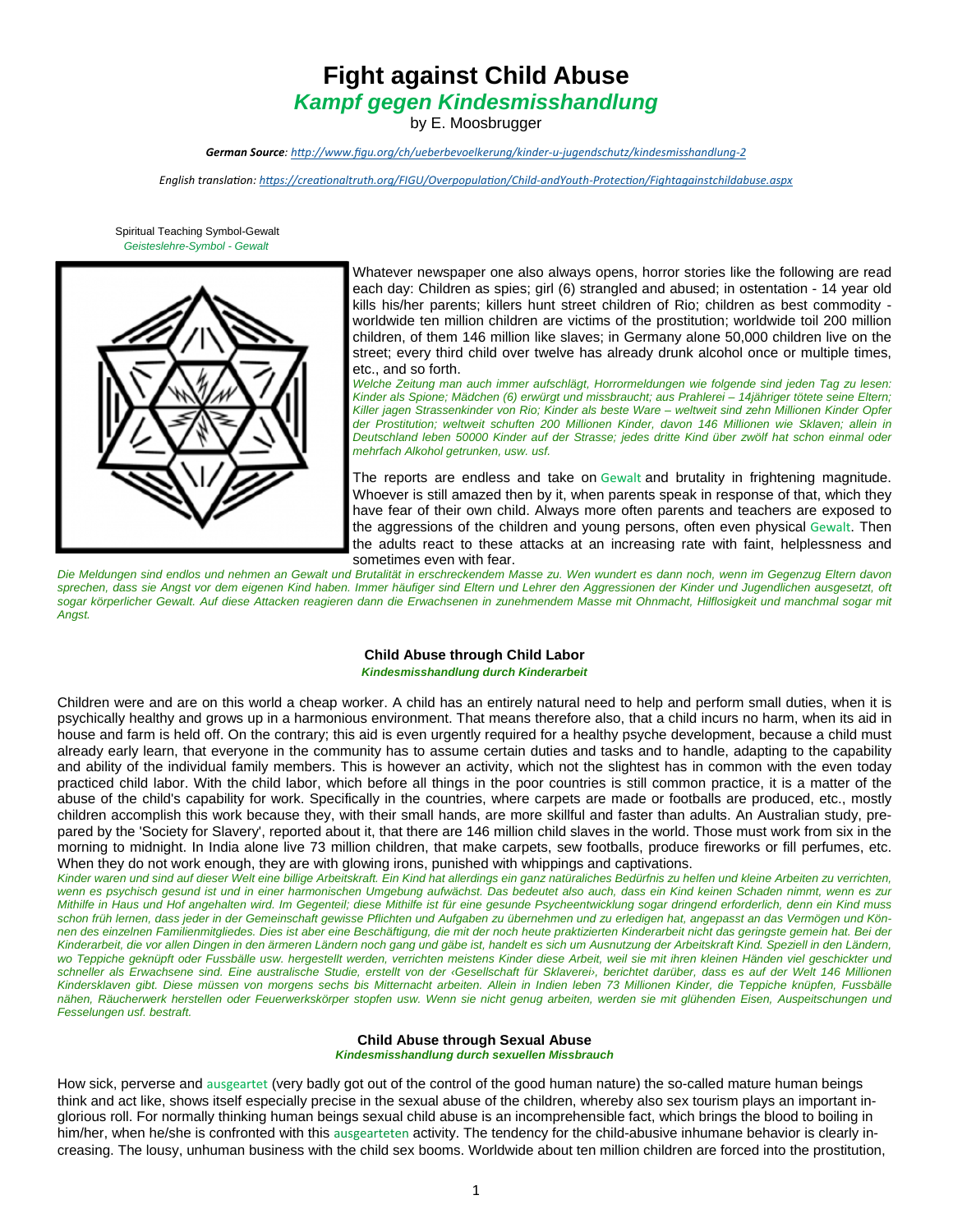# **Fight against Child Abuse**

*Kampf gegen Kindesmisshandlung*

by E. Moosbrugger

*German Source: hƩp://www.figu.org/ch/ueberbevoelkerung/kinder‐u‐jugendschutz/kindesmisshandlung‐2*

*English translaƟon: hƩps://creaƟonaltruth.org/FIGU/OverpopulaƟon/Child‐andYouth‐ProtecƟon/Fightagainstchildabuse.aspx*

 Spiritual Teaching Symbol-Gewalt *Geisteslehre-Symbol - Gewalt*



Whatever newspaper one also always opens, horror stories like the following are read each day: Children as spies; girl (6) strangled and abused; in ostentation - 14 year old kills his/her parents; killers hunt street children of Rio; children as best commodity worldwide ten million children are victims of the prostitution; worldwide toil 200 million children, of them 146 million like slaves; in Germany alone 50,000 children live on the street; every third child over twelve has already drunk alcohol once or multiple times, etc., and so forth.

*Welche Zeitung man auch immer aufschlägt, Horrormeldungen wie folgende sind jeden Tag zu lesen: Kinder als Spione; Mädchen (6) erwürgt und missbraucht; aus Prahlerei – 14jähriger tötete seine Eltern; Killer jagen Strassenkinder von Rio; Kinder als beste Ware – weltweit sind zehn Millionen Kinder Opfer der Prostitution; weltweit schuften 200 Millionen Kinder, davon 146 Millionen wie Sklaven; allein in Deutschland leben 50000 Kinder auf der Strasse; jedes dritte Kind über zwölf hat schon einmal oder mehrfach Alkohol getrunken, usw. usf.* 

The reports are endless and take on Gewalt and brutality in frightening magnitude. Whoever is still amazed then by it, when parents speak in response of that, which they have fear of their own child. Always more often parents and teachers are exposed to the aggressions of the children and young persons, often even physical Gewalt. Then the adults react to these attacks at an increasing rate with faint, helplessness and sometimes even with fear.

Die Meldungen sind endlos und nehmen an Gewalt und Brutalität in erschreckendem Masse zu. Wen wundert es dann noch, wenn im Gegenzug Eltern davon *sprechen, dass sie Angst vor dem eigenen Kind haben. Immer häufiger sind Eltern und Lehrer den Aggressionen der Kinder und Jugendlichen ausgesetzt, oft*  sogar körperlicher Gewalt. Auf diese Attacken reagieren dann die Erwachsenen in zunehmendem Masse mit Ohnmacht, Hilflosigkeit und manchmal sogar mit *Angst.* 

#### **Child Abuse through Child Labor**  *Kindesmisshandlung durch Kinderarbeit*

Children were and are on this world a cheap worker. A child has an entirely natural need to help and perform small duties, when it is psychically healthy and grows up in a harmonious environment. That means therefore also, that a child incurs no harm, when its aid in house and farm is held off. On the contrary; this aid is even urgently required for a healthy psyche development, because a child must already early learn, that everyone in the community has to assume certain duties and tasks and to handle, adapting to the capability and ability of the individual family members. This is however an activity, which not the slightest has in common with the even today practiced child labor. With the child labor, which before all things in the poor countries is still common practice, it is a matter of the abuse of the child's capability for work. Specifically in the countries, where carpets are made or footballs are produced, etc., mostly children accomplish this work because they, with their small hands, are more skillful and faster than adults. An Australian study, prepared by the 'Society for Slavery', reported about it, that there are 146 million child slaves in the world. Those must work from six in the morning to midnight. In India alone live 73 million children, that make carpets, sew footballs, produce fireworks or fill perfumes, etc. When they do not work enough, they are with glowing irons, punished with whippings and captivations.

*Kinder waren und sind auf dieser Welt eine billige Arbeitskraft. Ein Kind hat allerdings ein ganz natüraliches Bedürfnis zu helfen und kleine Arbeiten zu verrichten, wenn es psychisch gesund ist und in einer harmonischen Umgebung aufwächst. Das bedeutet also auch, dass ein Kind keinen Schaden nimmt, wenn es zur Mithilfe in Haus und Hof angehalten wird. Im Gegenteil; diese Mithilfe ist für eine gesunde Psycheentwicklung sogar dringend erforderlich, denn ein Kind muss schon früh lernen, dass jeder in der Gemeinschaft gewisse Pflichten und Aufgaben zu übernehmen und zu erledigen hat, angepasst an das Vermögen und Kön*nen des einzelnen Familienmitgliedes. Dies ist aber eine Beschäftigung, die mit der noch heute praktizierten Kinderarbeit nicht das geringste gemein hat. Bei der *Kinderarbeit, die vor allen Dingen in den ärmeren Ländern noch gang und gäbe ist, handelt es sich um Ausnutzung der Arbeitskraft Kind. Speziell in den Ländern, wo Teppiche geknüpft oder Fussbälle usw. hergestellt werden, verrichten meistens Kinder diese Arbeit, weil sie mit ihren kleinen Händen viel geschickter und schneller als Erwachsene sind. Eine australische Studie, erstellt von der ‹Gesellschaft für Sklaverei›, berichtet darüber, dass es auf der Welt 146 Millionen Kindersklaven gibt. Diese müssen von morgens sechs bis Mitternacht arbeiten. Allein in Indien leben 73 Millionen Kinder, die Teppiche knüpfen, Fussbälle nähen, Räucherwerk herstellen oder Feuerwerkskörper stopfen usw. Wenn sie nicht genug arbeiten, werden sie mit glühenden Eisen, Auspeitschungen und Fesselungen usf. bestraft.* 

#### **Child Abuse through Sexual Abuse**

*Kindesmisshandlung durch sexuellen Missbrauch* 

How sick, perverse and ausgeartet (very badly got out of the control of the good human nature) the so-called mature human beings think and act like, shows itself especially precise in the sexual abuse of the children, whereby also sex tourism plays an important inglorious roll. For normally thinking human beings sexual child abuse is an incomprehensible fact, which brings the blood to boiling in him/her, when he/she is confronted with this ausgearteten activity. The tendency for the child-abusive inhumane behavior is clearly increasing. The lousy, unhuman business with the child sex booms. Worldwide about ten million children are forced into the prostitution,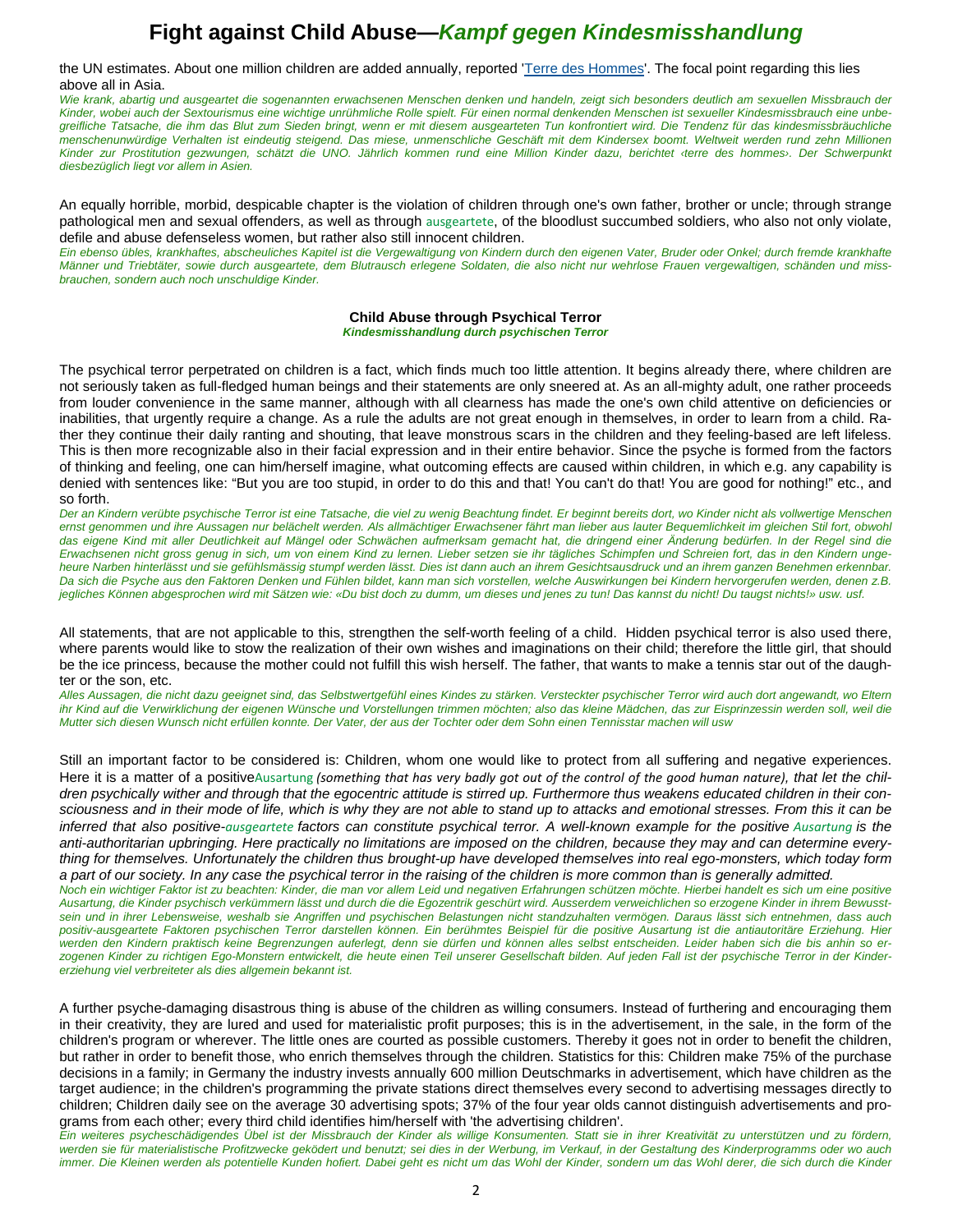the UN estimates. About one million children are added annually, reported 'Terre des Hommes'. The focal point regarding this lies above all in Asia.

*Wie krank, abartig und ausgeartet die sogenannten erwachsenen Menschen denken und handeln, zeigt sich besonders deutlich am sexuellen Missbrauch der Kinder, wobei auch der Sextourismus eine wichtige unrühmliche Rolle spielt. Für einen normal denkenden Menschen ist sexueller Kindesmissbrauch eine unbegreifliche Tatsache, die ihm das Blut zum Sieden bringt, wenn er mit diesem ausgearteten Tun konfrontiert wird. Die Tendenz für das kindesmissbräuchliche menschenunwürdige Verhalten ist eindeutig steigend. Das miese, unmenschliche Geschäft mit dem Kindersex boomt. Weltweit werden rund zehn Millionen Kinder zur Prostitution gezwungen, schätzt die UNO. Jährlich kommen rund eine Million Kinder dazu, berichtet ‹terre des hommes›. Der Schwerpunkt diesbezüglich liegt vor allem in Asien.* 

An equally horrible, morbid, despicable chapter is the violation of children through one's own father, brother or uncle; through strange pathological men and sexual offenders, as well as through ausgeartete, of the bloodlust succumbed soldiers, who also not only violate, defile and abuse defenseless women, but rather also still innocent children.

*Ein ebenso übles, krankhaftes, abscheuliches Kapitel ist die Vergewaltigung von Kindern durch den eigenen Vater, Bruder oder Onkel; durch fremde krankhafte Männer und Triebtäter, sowie durch ausgeartete, dem Blutrausch erlegene Soldaten, die also nicht nur wehrlose Frauen vergewaltigen, schänden und missbrauchen, sondern auch noch unschuldige Kinder.* 

#### **Child Abuse through Psychical Terror**

*Kindesmisshandlung durch psychischen Terror* 

The psychical terror perpetrated on children is a fact, which finds much too little attention. It begins already there, where children are not seriously taken as full-fledged human beings and their statements are only sneered at. As an all-mighty adult, one rather proceeds from louder convenience in the same manner, although with all clearness has made the one's own child attentive on deficiencies or inabilities, that urgently require a change. As a rule the adults are not great enough in themselves, in order to learn from a child. Rather they continue their daily ranting and shouting, that leave monstrous scars in the children and they feeling-based are left lifeless. This is then more recognizable also in their facial expression and in their entire behavior. Since the psyche is formed from the factors of thinking and feeling, one can him/herself imagine, what outcoming effects are caused within children, in which e.g. any capability is denied with sentences like: "But you are too stupid, in order to do this and that! You can't do that! You are good for nothing!" etc., and so forth.

*Der an Kindern verübte psychische Terror ist eine Tatsache, die viel zu wenig Beachtung findet. Er beginnt bereits dort, wo Kinder nicht als vollwertige Menschen ernst genommen und ihre Aussagen nur belächelt werden. Als allmächtiger Erwachsener fährt man lieber aus lauter Bequemlichkeit im gleichen Stil fort, obwohl das eigene Kind mit aller Deutlichkeit auf Mängel oder Schwächen aufmerksam gemacht hat, die dringend einer Änderung bedürfen. In der Regel sind die Erwachsenen nicht gross genug in sich, um von einem Kind zu lernen. Lieber setzen sie ihr tägliches Schimpfen und Schreien fort, das in den Kindern ungeheure Narben hinterlässt und sie gefühlsmässig stumpf werden lässt. Dies ist dann auch an ihrem Gesichtsausdruck und an ihrem ganzen Benehmen erkennbar. Da sich die Psyche aus den Faktoren Denken und Fühlen bildet, kann man sich vorstellen, welche Auswirkungen bei Kindern hervorgerufen werden, denen z.B. jegliches Können abgesprochen wird mit Sätzen wie: «Du bist doch zu dumm, um dieses und jenes zu tun! Das kannst du nicht! Du taugst nichts!» usw. usf.* 

All statements, that are not applicable to this, strengthen the self-worth feeling of a child. Hidden psychical terror is also used there, where parents would like to stow the realization of their own wishes and imaginations on their child; therefore the little girl, that should be the ice princess, because the mother could not fulfill this wish herself. The father, that wants to make a tennis star out of the daughter or the son, etc.

*Alles Aussagen, die nicht dazu geeignet sind, das Selbstwertgefühl eines Kindes zu stärken. Versteckter psychischer Terror wird auch dort angewandt, wo Eltern ihr Kind auf die Verwirklichung der eigenen Wünsche und Vorstellungen trimmen möchten; also das kleine Mädchen, das zur Eisprinzessin werden soll, weil die Mutter sich diesen Wunsch nicht erfüllen konnte. Der Vater, der aus der Tochter oder dem Sohn einen Tennisstar machen will usw* 

Still an important factor to be considered is: Children, whom one would like to protect from all suffering and negative experiences. Here it is a matter of a positiveAusartung *(something that has very badly got out of the control of the good human nature), that let the children psychically wither and through that the egocentric attitude is stirred up. Furthermore thus weakens educated children in their consciousness and in their mode of life, which is why they are not able to stand up to attacks and emotional stresses. From this it can be inferred that also positive-ausgeartete* factors can constitute psychical terror. A well-known example for the positive Ausartung is the *anti-authoritarian upbringing. Here practically no limitations are imposed on the children, because they may and can determine everything for themselves. Unfortunately the children thus brought-up have developed themselves into real ego-monsters, which today form a part of our society. In any case the psychical terror in the raising of the children is more common than is generally admitted. Noch ein wichtiger Faktor ist zu beachten: Kinder, die man vor allem Leid und negativen Erfahrungen schützen möchte. Hierbei handelt es sich um eine positive Ausartung, die Kinder psychisch verkümmern lässt und durch die die Egozentrik geschürt wird. Ausserdem verweichlichen so erzogene Kinder in ihrem Bewusst-*

*sein und in ihrer Lebensweise, weshalb sie Angriffen und psychischen Belastungen nicht standzuhalten vermögen. Daraus lässt sich entnehmen, dass auch positiv-ausgeartete Faktoren psychischen Terror darstellen können. Ein berühmtes Beispiel für die positive Ausartung ist die antiautoritäre Erziehung. Hier werden den Kindern praktisch keine Begrenzungen auferlegt, denn sie dürfen und können alles selbst entscheiden. Leider haben sich die bis anhin so erzogenen Kinder zu richtigen Ego-Monstern entwickelt, die heute einen Teil unserer Gesellschaft bilden. Auf jeden Fall ist der psychische Terror in der Kindererziehung viel verbreiteter als dies allgemein bekannt ist.* 

A further psyche-damaging disastrous thing is abuse of the children as willing consumers. Instead of furthering and encouraging them in their creativity, they are lured and used for materialistic profit purposes; this is in the advertisement, in the sale, in the form of the children's program or wherever. The little ones are courted as possible customers. Thereby it goes not in order to benefit the children, but rather in order to benefit those, who enrich themselves through the children. Statistics for this: Children make 75% of the purchase decisions in a family; in Germany the industry invests annually 600 million Deutschmarks in advertisement, which have children as the target audience; in the children's programming the private stations direct themselves every second to advertising messages directly to children; Children daily see on the average 30 advertising spots; 37% of the four year olds cannot distinguish advertisements and programs from each other; every third child identifies him/herself with 'the advertising children'.

*Ein weiteres psycheschädigendes Übel ist der Missbrauch der Kinder als willige Konsumenten. Statt sie in ihrer Kreativität zu unterstützen und zu fördern, werden sie für materialistische Profitzwecke geködert und benutzt; sei dies in der Werbung, im Verkauf, in der Gestaltung des Kinderprogramms oder wo auch immer. Die Kleinen werden als potentielle Kunden hofiert. Dabei geht es nicht um das Wohl der Kinder, sondern um das Wohl derer, die sich durch die Kinder*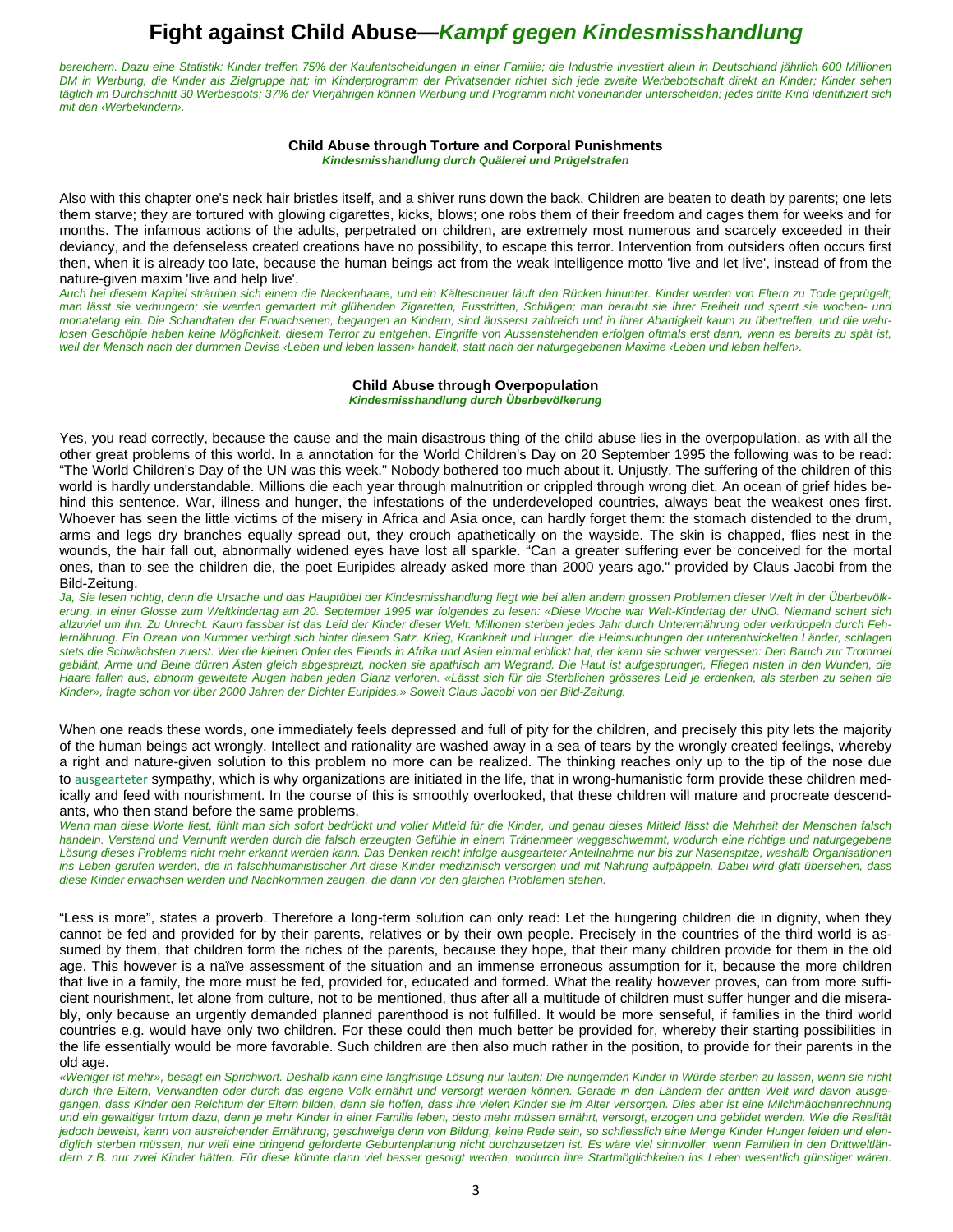*bereichern. Dazu eine Statistik: Kinder treffen 75% der Kaufentscheidungen in einer Familie; die Industrie investiert allein in Deutschland jährlich 600 Millionen DM in Werbung, die Kinder als Zielgruppe hat; im Kinderprogramm der Privatsender richtet sich jede zweite Werbebotschaft direkt an Kinder; Kinder sehen täglich im Durchschnitt 30 Werbespots; 37% der Vierjährigen können Werbung und Programm nicht voneinander unterscheiden; jedes dritte Kind identifiziert sich mit den ‹Werbekindern›.* 

#### **Child Abuse through Torture and Corporal Punishments**  *Kindesmisshandlung durch Quälerei und Prügelstrafen*

Also with this chapter one's neck hair bristles itself, and a shiver runs down the back. Children are beaten to death by parents; one lets them starve; they are tortured with glowing cigarettes, kicks, blows; one robs them of their freedom and cages them for weeks and for months. The infamous actions of the adults, perpetrated on children, are extremely most numerous and scarcely exceeded in their deviancy, and the defenseless created creations have no possibility, to escape this terror. Intervention from outsiders often occurs first then, when it is already too late, because the human beings act from the weak intelligence motto 'live and let live', instead of from the nature-given maxim 'live and help live'.

*Auch bei diesem Kapitel sträuben sich einem die Nackenhaare, und ein Kälteschauer läuft den Rücken hinunter. Kinder werden von Eltern zu Tode geprügelt; man lässt sie verhungern; sie werden gemartert mit glühenden Zigaretten, Fusstritten, Schlägen; man beraubt sie ihrer Freiheit und sperrt sie wochen- und monatelang ein. Die Schandtaten der Erwachsenen, begangen an Kindern, sind äusserst zahlreich und in ihrer Abartigkeit kaum zu übertreffen, und die wehrlosen Geschöpfe haben keine Möglichkeit, diesem Terror zu entgehen. Eingriffe von Aussenstehenden erfolgen oftmals erst dann, wenn es bereits zu spät ist, weil der Mensch nach der dummen Devise ‹Leben und leben lassen› handelt, statt nach der naturgegebenen Maxime ‹Leben und leben helfen›.* 

#### **Child Abuse through Overpopulation**  *Kindesmisshandlung durch Überbevölkerung*

Yes, you read correctly, because the cause and the main disastrous thing of the child abuse lies in the overpopulation, as with all the other great problems of this world. In a annotation for the World Children's Day on 20 September 1995 the following was to be read: "The World Children's Day of the UN was this week." Nobody bothered too much about it. Unjustly. The suffering of the children of this world is hardly understandable. Millions die each year through malnutrition or crippled through wrong diet. An ocean of grief hides behind this sentence. War, illness and hunger, the infestations of the underdeveloped countries, always beat the weakest ones first. Whoever has seen the little victims of the misery in Africa and Asia once, can hardly forget them: the stomach distended to the drum, arms and legs dry branches equally spread out, they crouch apathetically on the wayside. The skin is chapped, flies nest in the wounds, the hair fall out, abnormally widened eyes have lost all sparkle. "Can a greater suffering ever be conceived for the mortal ones, than to see the children die, the poet Euripides already asked more than 2000 years ago." provided by Claus Jacobi from the Bild-Zeitung.

*Ja, Sie lesen richtig, denn die Ursache und das Hauptübel der Kindesmisshandlung liegt wie bei allen andern grossen Problemen dieser Welt in der Überbevölkerung. In einer Glosse zum Weltkindertag am 20. September 1995 war folgendes zu lesen: «Diese Woche war Welt-Kindertag der UNO. Niemand schert sich allzuviel um ihn. Zu Unrecht. Kaum fassbar ist das Leid der Kinder dieser Welt. Millionen sterben jedes Jahr durch Unterernährung oder verkrüppeln durch Fehlernährung. Ein Ozean von Kummer verbirgt sich hinter diesem Satz. Krieg, Krankheit und Hunger, die Heimsuchungen der unterentwickelten Länder, schlagen*  stets die Schwächsten zuerst. Wer die kleinen Opfer des Elends in Afrika und Asien einmal erblickt hat, der kann sie schwer vergessen: Den Bauch zur Trommel *gebläht, Arme und Beine dürren Ästen gleich abgespreizt, hocken sie apathisch am Wegrand. Die Haut ist aufgesprungen, Fliegen nisten in den Wunden, die Haare fallen aus, abnorm geweitete Augen haben jeden Glanz verloren. «Lässt sich für die Sterblichen grösseres Leid je erdenken, als sterben zu sehen die Kinder», fragte schon vor über 2000 Jahren der Dichter Euripides.» Soweit Claus Jacobi von der Bild-Zeitung.* 

When one reads these words, one immediately feels depressed and full of pity for the children, and precisely this pity lets the majority of the human beings act wrongly. Intellect and rationality are washed away in a sea of tears by the wrongly created feelings, whereby a right and nature-given solution to this problem no more can be realized. The thinking reaches only up to the tip of the nose due to ausgearteter sympathy, which is why organizations are initiated in the life, that in wrong-humanistic form provide these children medically and feed with nourishment. In the course of this is smoothly overlooked, that these children will mature and procreate descendants, who then stand before the same problems.

*Wenn man diese Worte liest, fühlt man sich sofort bedrückt und voller Mitleid für die Kinder, und genau dieses Mitleid lässt die Mehrheit der Menschen falsch handeln. Verstand und Vernunft werden durch die falsch erzeugten Gefühle in einem Tränenmeer weggeschwemmt, wodurch eine richtige und naturgegebene Lösung dieses Problems nicht mehr erkannt werden kann. Das Denken reicht infolge ausgearteter Anteilnahme nur bis zur Nasenspitze, weshalb Organisationen ins Leben gerufen werden, die in falschhumanistischer Art diese Kinder medizinisch versorgen und mit Nahrung aufpäppeln. Dabei wird glatt übersehen, dass diese Kinder erwachsen werden und Nachkommen zeugen, die dann vor den gleichen Problemen stehen.* 

"Less is more", states a proverb. Therefore a long-term solution can only read: Let the hungering children die in dignity, when they cannot be fed and provided for by their parents, relatives or by their own people. Precisely in the countries of the third world is assumed by them, that children form the riches of the parents, because they hope, that their many children provide for them in the old age. This however is a naïve assessment of the situation and an immense erroneous assumption for it, because the more children that live in a family, the more must be fed, provided for, educated and formed. What the reality however proves, can from more sufficient nourishment, let alone from culture, not to be mentioned, thus after all a multitude of children must suffer hunger and die miserably, only because an urgently demanded planned parenthood is not fulfilled. It would be more senseful, if families in the third world countries e.g. would have only two children. For these could then much better be provided for, whereby their starting possibilities in the life essentially would be more favorable. Such children are then also much rather in the position, to provide for their parents in the old age.

*«Weniger ist mehr», besagt ein Sprichwort. Deshalb kann eine langfristige Lösung nur lauten: Die hungernden Kinder in Würde sterben zu lassen, wenn sie nicht durch ihre Eltern, Verwandten oder durch das eigene Volk ernährt und versorgt werden können. Gerade in den Ländern der dritten Welt wird davon ausgegangen, dass Kinder den Reichtum der Eltern bilden, denn sie hoffen, dass ihre vielen Kinder sie im Alter versorgen. Dies aber ist eine Milchmädchenrechnung und ein gewaltiger Irrtum dazu, denn je mehr Kinder in einer Familie leben, desto mehr müssen ernährt, versorgt, erzogen und gebildet werden. Wie die Realität jedoch beweist, kann von ausreichender Ernährung, geschweige denn von Bildung, keine Rede sein, so schliesslich eine Menge Kinder Hunger leiden und elendiglich sterben müssen, nur weil eine dringend geforderte Geburtenplanung nicht durchzusetzen ist. Es wäre viel sinnvoller, wenn Familien in den Drittweltländern z.B. nur zwei Kinder hätten. Für diese könnte dann viel besser gesorgt werden, wodurch ihre Startmöglichkeiten ins Leben wesentlich günstiger wären.*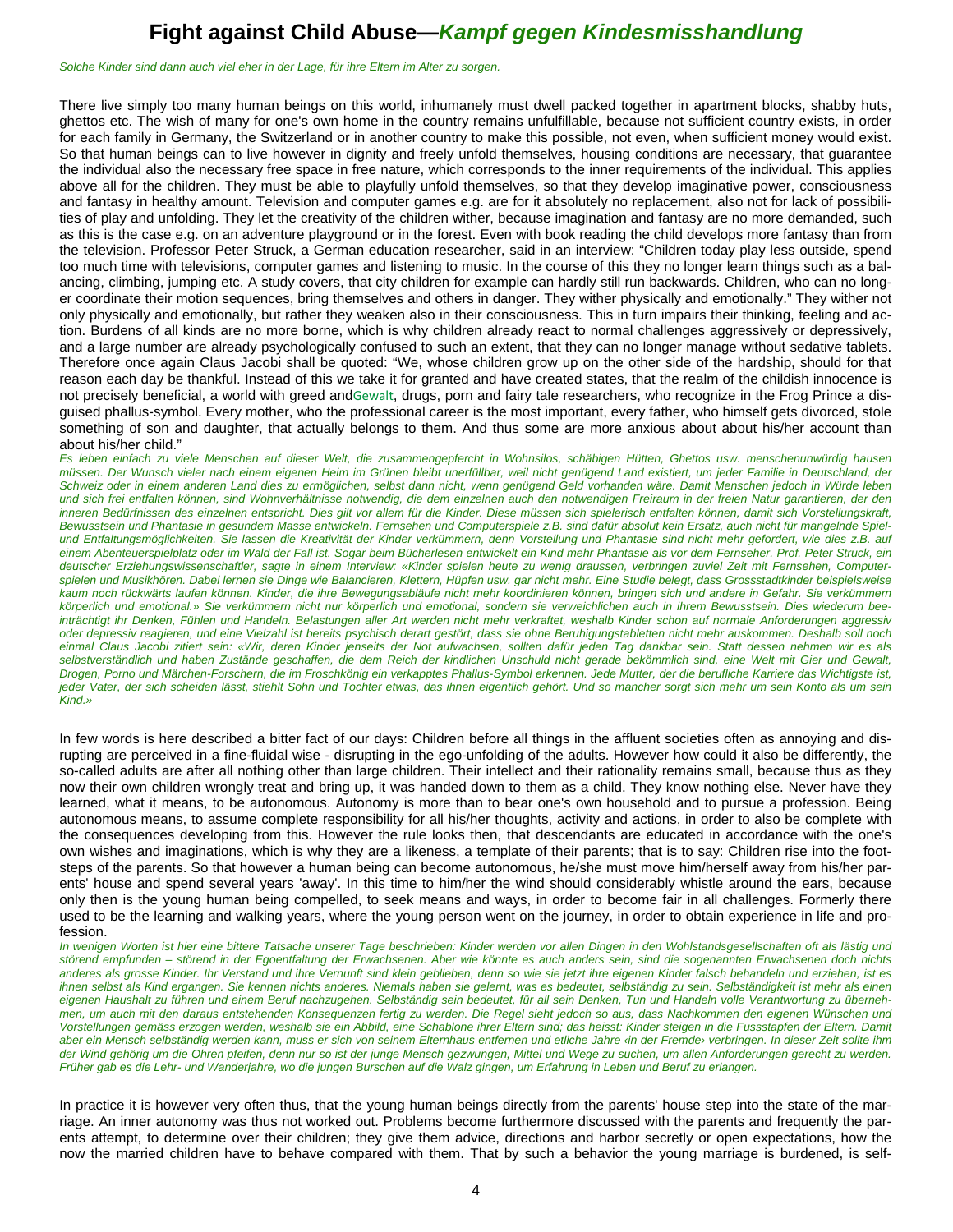*Solche Kinder sind dann auch viel eher in der Lage, für ihre Eltern im Alter zu sorgen.* 

There live simply too many human beings on this world, inhumanely must dwell packed together in apartment blocks, shabby huts, ghettos etc. The wish of many for one's own home in the country remains unfulfillable, because not sufficient country exists, in order for each family in Germany, the Switzerland or in another country to make this possible, not even, when sufficient money would exist. So that human beings can to live however in dignity and freely unfold themselves, housing conditions are necessary, that guarantee the individual also the necessary free space in free nature, which corresponds to the inner requirements of the individual. This applies above all for the children. They must be able to playfully unfold themselves, so that they develop imaginative power, consciousness and fantasy in healthy amount. Television and computer games e.g. are for it absolutely no replacement, also not for lack of possibilities of play and unfolding. They let the creativity of the children wither, because imagination and fantasy are no more demanded, such as this is the case e.g. on an adventure playground or in the forest. Even with book reading the child develops more fantasy than from the television. Professor Peter Struck, a German education researcher, said in an interview: "Children today play less outside, spend too much time with televisions, computer games and listening to music. In the course of this they no longer learn things such as a balancing, climbing, jumping etc. A study covers, that city children for example can hardly still run backwards. Children, who can no longer coordinate their motion sequences, bring themselves and others in danger. They wither physically and emotionally." They wither not only physically and emotionally, but rather they weaken also in their consciousness. This in turn impairs their thinking, feeling and action. Burdens of all kinds are no more borne, which is why children already react to normal challenges aggressively or depressively, and a large number are already psychologically confused to such an extent, that they can no longer manage without sedative tablets. Therefore once again Claus Jacobi shall be quoted: "We, whose children grow up on the other side of the hardship, should for that reason each day be thankful. Instead of this we take it for granted and have created states, that the realm of the childish innocence is not precisely beneficial, a world with greed andGewalt, drugs, porn and fairy tale researchers, who recognize in the Frog Prince a disguised phallus-symbol. Every mother, who the professional career is the most important, every father, who himself gets divorced, stole something of son and daughter, that actually belongs to them. And thus some are more anxious about about his/her account than about his/her child."

*Es leben einfach zu viele Menschen auf dieser Welt, die zusammengepfercht in Wohnsilos, schäbigen Hütten, Ghettos usw. menschenunwürdig hausen müssen. Der Wunsch vieler nach einem eigenen Heim im Grünen bleibt unerfüllbar, weil nicht genügend Land existiert, um jeder Familie in Deutschland, der Schweiz oder in einem anderen Land dies zu ermöglichen, selbst dann nicht, wenn genügend Geld vorhanden wäre. Damit Menschen jedoch in Würde leben und sich frei entfalten können, sind Wohnverhältnisse notwendig, die dem einzelnen auch den notwendigen Freiraum in der freien Natur garantieren, der den inneren Bedürfnissen des einzelnen entspricht. Dies gilt vor allem für die Kinder. Diese müssen sich spielerisch entfalten können, damit sich Vorstellungskraft, Bewusstsein und Phantasie in gesundem Masse entwickeln. Fernsehen und Computerspiele z.B. sind dafür absolut kein Ersatz, auch nicht für mangelnde Spiel*und Entfaltungsmöglichkeiten. Sie lassen die Kreativität der Kinder verkümmern, denn Vorstellung und Phantasie sind nicht mehr gefordert, wie dies z.B. auf einem Abenteuerspielplatz oder im Wald der Fall ist. Sogar beim Bücherlesen entwickelt ein Kind mehr Phantasie als vor dem Fernseher. Prof. Peter Struck, ein deutscher Erziehungswissenschaftler, sagte in einem Interview: «Kinder spielen heute zu wenig draussen, verbringen zuviel Zeit mit Fernsehen, Computer*spielen und Musikhören. Dabei lernen sie Dinge wie Balancieren, Klettern, Hüpfen usw. gar nicht mehr. Eine Studie belegt, dass Grossstadtkinder beispielsweise kaum noch rückwärts laufen können. Kinder, die ihre Bewegungsabläufe nicht mehr koordinieren können, bringen sich und andere in Gefahr. Sie verkümmern körperlich und emotional.» Sie verkümmern nicht nur körperlich und emotional, sondern sie verweichlichen auch in ihrem Bewusstsein. Dies wiederum beeinträchtigt ihr Denken, Fühlen und Handeln. Belastungen aller Art werden nicht mehr verkraftet, weshalb Kinder schon auf normale Anforderungen aggressiv oder depressiv reagieren, und eine Vielzahl ist bereits psychisch derart gestört, dass sie ohne Beruhigungstabletten nicht mehr auskommen. Deshalb soll noch einmal Claus Jacobi zitiert sein: «Wir, deren Kinder jenseits der Not aufwachsen, sollten dafür jeden Tag dankbar sein. Statt dessen nehmen wir es als*  selbstverständlich und haben Zustände geschaffen, die dem Reich der kindlichen Unschuld nicht gerade bekömmlich sind, eine Welt mit Gier und Gewalt, *Drogen, Porno und Märchen-Forschern, die im Froschkönig ein verkapptes Phallus-Symbol erkennen. Jede Mutter, der die berufliche Karriere das Wichtigste ist,*  jeder Vater, der sich scheiden lässt, stiehlt Sohn und Tochter etwas, das ihnen eigentlich gehört. Und so mancher sorgt sich mehr um sein Konto als um sein *Kind.»* 

In few words is here described a bitter fact of our days: Children before all things in the affluent societies often as annoying and disrupting are perceived in a fine-fluidal wise - disrupting in the ego-unfolding of the adults. However how could it also be differently, the so-called adults are after all nothing other than large children. Their intellect and their rationality remains small, because thus as they now their own children wrongly treat and bring up, it was handed down to them as a child. They know nothing else. Never have they learned, what it means, to be autonomous. Autonomy is more than to bear one's own household and to pursue a profession. Being autonomous means, to assume complete responsibility for all his/her thoughts, activity and actions, in order to also be complete with the consequences developing from this. However the rule looks then, that descendants are educated in accordance with the one's own wishes and imaginations, which is why they are a likeness, a template of their parents; that is to say: Children rise into the footsteps of the parents. So that however a human being can become autonomous, he/she must move him/herself away from his/her parents' house and spend several years 'away'. In this time to him/her the wind should considerably whistle around the ears, because only then is the young human being compelled, to seek means and ways, in order to become fair in all challenges. Formerly there used to be the learning and walking years, where the young person went on the journey, in order to obtain experience in life and profession.

*In wenigen Worten ist hier eine bittere Tatsache unserer Tage beschrieben: Kinder werden vor allen Dingen in den Wohlstandsgesellschaften oft als lästig und störend empfunden – störend in der Egoentfaltung der Erwachsenen. Aber wie könnte es auch anders sein, sind die sogenannten Erwachsenen doch nichts*  anderes als grosse Kinder. Ihr Verstand und ihre Vernunft sind klein geblieben, denn so wie sie jetzt ihre eigenen Kinder falsch behandeln und erziehen, ist es *ihnen selbst als Kind ergangen. Sie kennen nichts anderes. Niemals haben sie gelernt, was es bedeutet, selbständig zu sein. Selbständigkeit ist mehr als einen eigenen Haushalt zu führen und einem Beruf nachzugehen. Selbständig sein bedeutet, für all sein Denken, Tun und Handeln volle Verantwortung zu übernehmen, um auch mit den daraus entstehenden Konsequenzen fertig zu werden. Die Regel sieht jedoch so aus, dass Nachkommen den eigenen Wünschen und Vorstellungen gemäss erzogen werden, weshalb sie ein Abbild, eine Schablone ihrer Eltern sind; das heisst: Kinder steigen in die Fussstapfen der Eltern. Damit aber ein Mensch selbständig werden kann, muss er sich von seinem Elternhaus entfernen und etliche Jahre ‹in der Fremde› verbringen. In dieser Zeit sollte ihm der Wind gehörig um die Ohren pfeifen, denn nur so ist der junge Mensch gezwungen, Mittel und Wege zu suchen, um allen Anforderungen gerecht zu werden. Früher gab es die Lehr- und Wanderjahre, wo die jungen Burschen auf die Walz gingen, um Erfahrung in Leben und Beruf zu erlangen.* 

In practice it is however very often thus, that the young human beings directly from the parents' house step into the state of the marriage. An inner autonomy was thus not worked out. Problems become furthermore discussed with the parents and frequently the parents attempt, to determine over their children; they give them advice, directions and harbor secretly or open expectations, how the now the married children have to behave compared with them. That by such a behavior the young marriage is burdened, is self-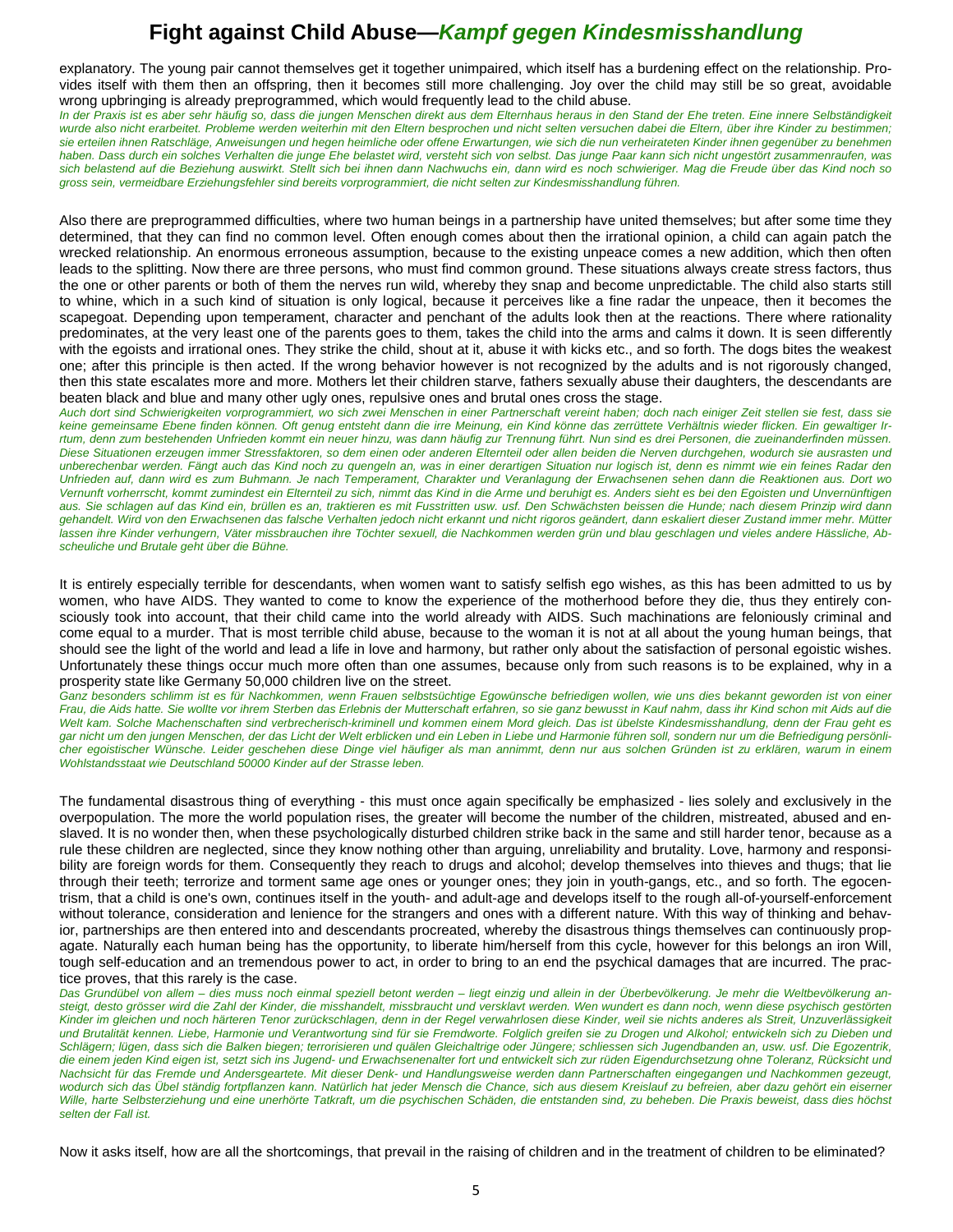explanatory. The young pair cannot themselves get it together unimpaired, which itself has a burdening effect on the relationship. Provides itself with them then an offspring, then it becomes still more challenging. Joy over the child may still be so great, avoidable wrong upbringing is already preprogrammed, which would frequently lead to the child abuse.

In der Praxis ist es aber sehr häufig so, dass die jungen Menschen direkt aus dem Elternhaus heraus in den Stand der Ehe treten. Eine innere Selbständigkeit *wurde also nicht erarbeitet. Probleme werden weiterhin mit den Eltern besprochen und nicht selten versuchen dabei die Eltern, über ihre Kinder zu bestimmen; sie erteilen ihnen Ratschläge, Anweisungen und hegen heimliche oder offene Erwartungen, wie sich die nun verheirateten Kinder ihnen gegenüber zu benehmen haben. Dass durch ein solches Verhalten die junge Ehe belastet wird, versteht sich von selbst. Das junge Paar kann sich nicht ungestört zusammenraufen, was sich belastend auf die Beziehung auswirkt. Stellt sich bei ihnen dann Nachwuchs ein, dann wird es noch schwieriger. Mag die Freude über das Kind noch so gross sein, vermeidbare Erziehungsfehler sind bereits vorprogrammiert, die nicht selten zur Kindesmisshandlung führen.* 

Also there are preprogrammed difficulties, where two human beings in a partnership have united themselves; but after some time they determined, that they can find no common level. Often enough comes about then the irrational opinion, a child can again patch the wrecked relationship. An enormous erroneous assumption, because to the existing unpeace comes a new addition, which then often leads to the splitting. Now there are three persons, who must find common ground. These situations always create stress factors, thus the one or other parents or both of them the nerves run wild, whereby they snap and become unpredictable. The child also starts still to whine, which in a such kind of situation is only logical, because it perceives like a fine radar the unpeace, then it becomes the scapegoat. Depending upon temperament, character and penchant of the adults look then at the reactions. There where rationality predominates, at the very least one of the parents goes to them, takes the child into the arms and calms it down. It is seen differently with the egoists and irrational ones. They strike the child, shout at it, abuse it with kicks etc., and so forth. The dogs bites the weakest one; after this principle is then acted. If the wrong behavior however is not recognized by the adults and is not rigorously changed, then this state escalates more and more. Mothers let their children starve, fathers sexually abuse their daughters, the descendants are beaten black and blue and many other ugly ones, repulsive ones and brutal ones cross the stage.

*Auch dort sind Schwierigkeiten vorprogrammiert, wo sich zwei Menschen in einer Partnerschaft vereint haben; doch nach einiger Zeit stellen sie fest, dass sie keine gemeinsame Ebene finden können. Oft genug entsteht dann die irre Meinung, ein Kind könne das zerrüttete Verhältnis wieder flicken. Ein gewaltiger Irrtum, denn zum bestehenden Unfrieden kommt ein neuer hinzu, was dann häufig zur Trennung führt. Nun sind es drei Personen, die zueinanderfinden müssen. Diese Situationen erzeugen immer Stressfaktoren, so dem einen oder anderen Elternteil oder allen beiden die Nerven durchgehen, wodurch sie ausrasten und unberechenbar werden. Fängt auch das Kind noch zu quengeln an, was in einer derartigen Situation nur logisch ist, denn es nimmt wie ein feines Radar den Unfrieden auf, dann wird es zum Buhmann. Je nach Temperament, Charakter und Veranlagung der Erwachsenen sehen dann die Reaktionen aus. Dort wo Vernunft vorherrscht, kommt zumindest ein Elternteil zu sich, nimmt das Kind in die Arme und beruhigt es. Anders sieht es bei den Egoisten und Unvernünftigen aus. Sie schlagen auf das Kind ein, brüllen es an, traktieren es mit Fusstritten usw. usf. Den Schwächsten beissen die Hunde; nach diesem Prinzip wird dann gehandelt. Wird von den Erwachsenen das falsche Verhalten jedoch nicht erkannt und nicht rigoros geändert, dann eskaliert dieser Zustand immer mehr. Mütter lassen ihre Kinder verhungern, Väter missbrauchen ihre Töchter sexuell, die Nachkommen werden grün und blau geschlagen und vieles andere Hässliche, Abscheuliche und Brutale geht über die Bühne.* 

It is entirely especially terrible for descendants, when women want to satisfy selfish ego wishes, as this has been admitted to us by women, who have AIDS. They wanted to come to know the experience of the motherhood before they die, thus they entirely consciously took into account, that their child came into the world already with AIDS. Such machinations are feloniously criminal and come equal to a murder. That is most terrible child abuse, because to the woman it is not at all about the young human beings, that should see the light of the world and lead a life in love and harmony, but rather only about the satisfaction of personal egoistic wishes. Unfortunately these things occur much more often than one assumes, because only from such reasons is to be explained, why in a prosperity state like Germany 50,000 children live on the street.

Ganz besonders schlimm ist es für Nachkommen, wenn Frauen selbstsüchtige Egowünsche befriedigen wollen, wie uns dies bekannt geworden ist von einer *Frau, die Aids hatte. Sie wollte vor ihrem Sterben das Erlebnis der Mutterschaft erfahren, so sie ganz bewusst in Kauf nahm, dass ihr Kind schon mit Aids auf die Welt kam. Solche Machenschaften sind verbrecherisch-kriminell und kommen einem Mord gleich. Das ist übelste Kindesmisshandlung, denn der Frau geht es gar nicht um den jungen Menschen, der das Licht der Welt erblicken und ein Leben in Liebe und Harmonie führen soll, sondern nur um die Befriedigung persönlicher egoistischer Wünsche. Leider geschehen diese Dinge viel häufiger als man annimmt, denn nur aus solchen Gründen ist zu erklären, warum in einem Wohlstandsstaat wie Deutschland 50000 Kinder auf der Strasse leben.* 

The fundamental disastrous thing of everything - this must once again specifically be emphasized - lies solely and exclusively in the overpopulation. The more the world population rises, the greater will become the number of the children, mistreated, abused and enslaved. It is no wonder then, when these psychologically disturbed children strike back in the same and still harder tenor, because as a rule these children are neglected, since they know nothing other than arguing, unreliability and brutality. Love, harmony and responsibility are foreign words for them. Consequently they reach to drugs and alcohol; develop themselves into thieves and thugs; that lie through their teeth; terrorize and torment same age ones or younger ones; they join in youth-gangs, etc., and so forth. The egocentrism, that a child is one's own, continues itself in the youth- and adult-age and develops itself to the rough all-of-yourself-enforcement without tolerance, consideration and lenience for the strangers and ones with a different nature. With this way of thinking and behavior, partnerships are then entered into and descendants procreated, whereby the disastrous things themselves can continuously propagate. Naturally each human being has the opportunity, to liberate him/herself from this cycle, however for this belongs an iron Will, tough self-education and an tremendous power to act, in order to bring to an end the psychical damages that are incurred. The practice proves, that this rarely is the case.

*Das Grundübel von allem – dies muss noch einmal speziell betont werden – liegt einzig und allein in der Überbevölkerung. Je mehr die Weltbevölkerung an*steigt, desto grösser wird die Zahl der Kinder, die misshandelt, missbraucht und versklavt werden. Wen wundert es dann noch, wenn diese psychisch gestörten *Kinder im gleichen und noch härteren Tenor zurückschlagen, denn in der Regel verwahrlosen diese Kinder, weil sie nichts anderes als Streit, Unzuverlässigkeit und Brutalität kennen. Liebe, Harmonie und Verantwortung sind für sie Fremdworte. Folglich greifen sie zu Drogen und Alkohol; entwickeln sich zu Dieben und Schlägern; lügen, dass sich die Balken biegen; terrorisieren und quälen Gleichaltrige oder Jüngere; schliessen sich Jugendbanden an, usw. usf. Die Egozentrik, die einem jeden Kind eigen ist, setzt sich ins Jugend- und Erwachsenenalter fort und entwickelt sich zur rüden Eigendurchsetzung ohne Toleranz, Rücksicht und Nachsicht für das Fremde und Andersgeartete. Mit dieser Denk- und Handlungsweise werden dann Partnerschaften eingegangen und Nachkommen gezeugt, wodurch sich das Übel ständig fortpflanzen kann. Natürlich hat jeder Mensch die Chance, sich aus diesem Kreislauf zu befreien, aber dazu gehört ein eiserner Wille, harte Selbsterziehung und eine unerhörte Tatkraft, um die psychischen Schäden, die entstanden sind, zu beheben. Die Praxis beweist, dass dies höchst selten der Fall ist.* 

Now it asks itself, how are all the shortcomings, that prevail in the raising of children and in the treatment of children to be eliminated?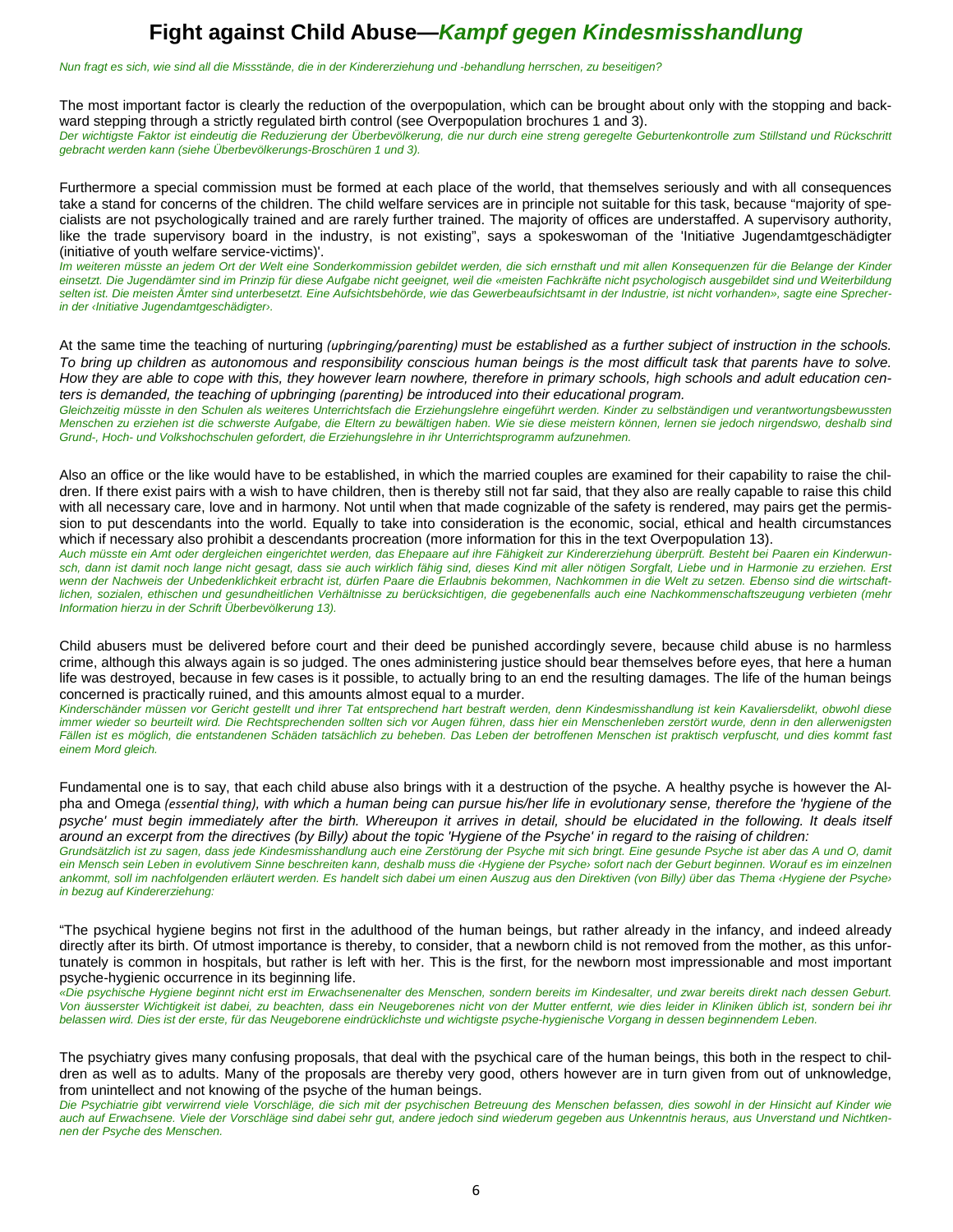*Nun fragt es sich, wie sind all die Missstände, die in der Kindererziehung und -behandlung herrschen, zu beseitigen?* 

The most important factor is clearly the reduction of the overpopulation, which can be brought about only with the stopping and backward stepping through a strictly regulated birth control (see Overpopulation brochures 1 and 3).

*Der wichtigste Faktor ist eindeutig die Reduzierung der Überbevölkerung, die nur durch eine streng geregelte Geburtenkontrolle zum Stillstand und Rückschritt gebracht werden kann (siehe Überbevölkerungs-Broschüren 1 und 3).* 

Furthermore a special commission must be formed at each place of the world, that themselves seriously and with all consequences take a stand for concerns of the children. The child welfare services are in principle not suitable for this task, because "majority of specialists are not psychologically trained and are rarely further trained. The majority of offices are understaffed. A supervisory authority, like the trade supervisory board in the industry, is not existing", says a spokeswoman of the 'Initiative Jugendamtgeschädigter (initiative of youth welfare service-victims)'.

*Im weiteren müsste an jedem Ort der Welt eine Sonderkommission gebildet werden, die sich ernsthaft und mit allen Konsequenzen für die Belange der Kinder*  einsetzt. Die Jugendämter sind im Prinzip für diese Aufgabe nicht geeignet, weil die «meisten Fachkräfte nicht psychologisch ausgebildet sind und Weiterbildung *selten ist. Die meisten Ämter sind unterbesetzt. Eine Aufsichtsbehörde, wie das Gewerbeaufsichtsamt in der Industrie, ist nicht vorhanden», sagte eine Sprecherin der ‹Initiative Jugendamtgeschädigter›.* 

At the same time the teaching of nurturing *(upbringing/parenting)* must be established as a further subject of instruction in the schools. *To bring up children as autonomous and responsibility conscious human beings is the most difficult task that parents have to solve. How they are able to cope with this, they however learn nowhere, therefore in primary schools, high schools and adult education centers is demanded, the teaching of upbringing (parenting) be introduced into their educational program.* 

*Gleichzeitig müsste in den Schulen als weiteres Unterrichtsfach die Erziehungslehre eingeführt werden. Kinder zu selbständigen und verantwortungsbewussten Menschen zu erziehen ist die schwerste Aufgabe, die Eltern zu bewältigen haben. Wie sie diese meistern können, lernen sie jedoch nirgendswo, deshalb sind Grund-, Hoch- und Volkshochschulen gefordert, die Erziehungslehre in ihr Unterrichtsprogramm aufzunehmen.* 

Also an office or the like would have to be established, in which the married couples are examined for their capability to raise the children. If there exist pairs with a wish to have children, then is thereby still not far said, that they also are really capable to raise this child with all necessary care, love and in harmony. Not until when that made cognizable of the safety is rendered, may pairs get the permission to put descendants into the world. Equally to take into consideration is the economic, social, ethical and health circumstances which if necessary also prohibit a descendants procreation (more information for this in the text Overpopulation 13).

*Auch müsste ein Amt oder dergleichen eingerichtet werden, das Ehepaare auf ihre Fähigkeit zur Kindererziehung überprüft. Besteht bei Paaren ein Kinderwunsch, dann ist damit noch lange nicht gesagt, dass sie auch wirklich fähig sind, dieses Kind mit aller nötigen Sorgfalt, Liebe und in Harmonie zu erziehen. Erst wenn der Nachweis der Unbedenklichkeit erbracht ist, dürfen Paare die Erlaubnis bekommen, Nachkommen in die Welt zu setzen. Ebenso sind die wirtschaftlichen, sozialen, ethischen und gesundheitlichen Verhältnisse zu berücksichtigen, die gegebenenfalls auch eine Nachkommenschaftszeugung verbieten (mehr Information hierzu in der Schrift Überbevölkerung 13).* 

Child abusers must be delivered before court and their deed be punished accordingly severe, because child abuse is no harmless crime, although this always again is so judged. The ones administering justice should bear themselves before eyes, that here a human life was destroyed, because in few cases is it possible, to actually bring to an end the resulting damages. The life of the human beings concerned is practically ruined, and this amounts almost equal to a murder.

*Kinderschänder müssen vor Gericht gestellt und ihrer Tat entsprechend hart bestraft werden, denn Kindesmisshandlung ist kein Kavaliersdelikt, obwohl diese immer wieder so beurteilt wird. Die Rechtsprechenden sollten sich vor Augen führen, dass hier ein Menschenleben zerstört wurde, denn in den allerwenigsten Fällen ist es möglich, die entstandenen Schäden tatsächlich zu beheben. Das Leben der betroffenen Menschen ist praktisch verpfuscht, und dies kommt fast einem Mord gleich.* 

Fundamental one is to say, that each child abuse also brings with it a destruction of the psyche. A healthy psyche is however the Alpha and Omega *(essenƟal thing), with which a human being can pursue his/her life in evolutionary sense, therefore the 'hygiene of the*  psyche' must begin immediately after the birth. Whereupon it arrives in detail, should be elucidated in the following. It deals itself *around an excerpt from the directives (by Billy) about the topic 'Hygiene of the Psyche' in regard to the raising of children:* 

*Grundsätzlich ist zu sagen, dass jede Kindesmisshandlung auch eine Zerstörung der Psyche mit sich bringt. Eine gesunde Psyche ist aber das A und O, damit ein Mensch sein Leben in evolutivem Sinne beschreiten kann, deshalb muss die ‹Hygiene der Psyche› sofort nach der Geburt beginnen. Worauf es im einzelnen ankommt, soll im nachfolgenden erläutert werden. Es handelt sich dabei um einen Auszug aus den Direktiven (von Billy) über das Thema ‹Hygiene der Psyche› in bezug auf Kindererziehung:* 

"The psychical hygiene begins not first in the adulthood of the human beings, but rather already in the infancy, and indeed already directly after its birth. Of utmost importance is thereby, to consider, that a newborn child is not removed from the mother, as this unfortunately is common in hospitals, but rather is left with her. This is the first, for the newborn most impressionable and most important psyche-hygienic occurrence in its beginning life.

*«Die psychische Hygiene beginnt nicht erst im Erwachsenenalter des Menschen, sondern bereits im Kindesalter, und zwar bereits direkt nach dessen Geburt. Von äusserster Wichtigkeit ist dabei, zu beachten, dass ein Neugeborenes nicht von der Mutter entfernt, wie dies leider in Kliniken üblich ist, sondern bei ihr belassen wird. Dies ist der erste, für das Neugeborene eindrücklichste und wichtigste psyche-hygienische Vorgang in dessen beginnendem Leben.* 

The psychiatry gives many confusing proposals, that deal with the psychical care of the human beings, this both in the respect to children as well as to adults. Many of the proposals are thereby very good, others however are in turn given from out of unknowledge, from unintellect and not knowing of the psyche of the human beings.

*Die Psychiatrie gibt verwirrend viele Vorschläge, die sich mit der psychischen Betreuung des Menschen befassen, dies sowohl in der Hinsicht auf Kinder wie auch auf Erwachsene. Viele der Vorschläge sind dabei sehr gut, andere jedoch sind wiederum gegeben aus Unkenntnis heraus, aus Unverstand und Nichtkennen der Psyche des Menschen.*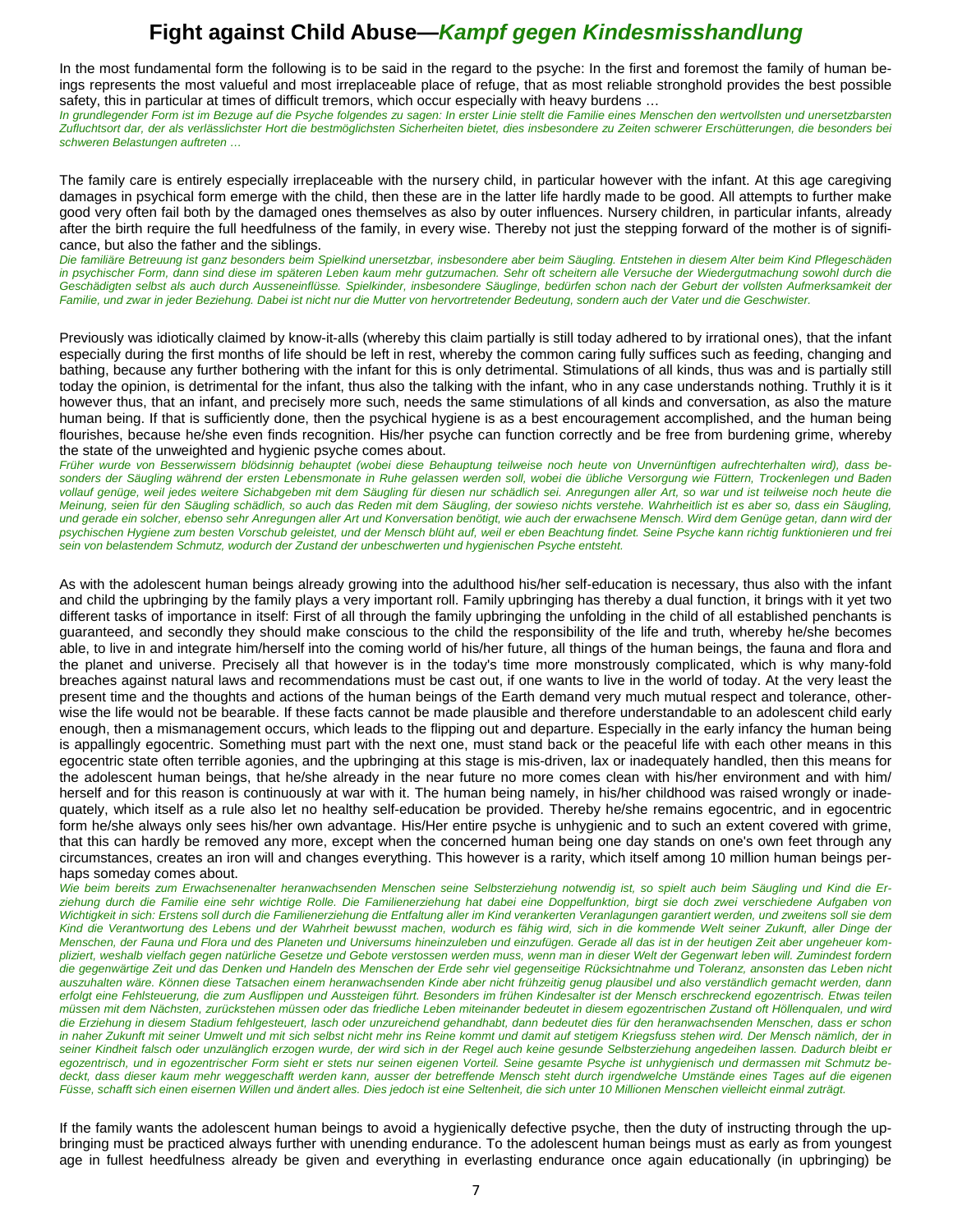In the most fundamental form the following is to be said in the regard to the psyche: In the first and foremost the family of human beings represents the most valueful and most irreplaceable place of refuge, that as most reliable stronghold provides the best possible safety, this in particular at times of difficult tremors, which occur especially with heavy burdens ...

*In grundlegender Form ist im Bezuge auf die Psyche folgendes zu sagen: In erster Linie stellt die Familie eines Menschen den wertvollsten und unersetzbarsten Zufluchtsort dar, der als verlässlichster Hort die bestmöglichsten Sicherheiten bietet, dies insbesondere zu Zeiten schwerer Erschütterungen, die besonders bei schweren Belastungen auftreten …* 

The family care is entirely especially irreplaceable with the nursery child, in particular however with the infant. At this age caregiving damages in psychical form emerge with the child, then these are in the latter life hardly made to be good. All attempts to further make good very often fail both by the damaged ones themselves as also by outer influences. Nursery children, in particular infants, already after the birth require the full heedfulness of the family, in every wise. Thereby not just the stepping forward of the mother is of significance, but also the father and the siblings.

Die familiäre Betreuung ist ganz besonders beim Spielkind unersetzbar, insbesondere aber beim Säugling. Entstehen in diesem Alter beim Kind Pflegeschäden in psychischer Form, dann sind diese im späteren Leben kaum mehr gutzumachen. Sehr oft scheitern alle Versuche der Wiedergutmachung sowohl durch die *Geschädigten selbst als auch durch Ausseneinflüsse. Spielkinder, insbesondere Säuglinge, bedürfen schon nach der Geburt der vollsten Aufmerksamkeit der Familie, und zwar in jeder Beziehung. Dabei ist nicht nur die Mutter von hervortretender Bedeutung, sondern auch der Vater und die Geschwister.* 

Previously was idiotically claimed by know-it-alls (whereby this claim partially is still today adhered to by irrational ones), that the infant especially during the first months of life should be left in rest, whereby the common caring fully suffices such as feeding, changing and bathing, because any further bothering with the infant for this is only detrimental. Stimulations of all kinds, thus was and is partially still today the opinion, is detrimental for the infant, thus also the talking with the infant, who in any case understands nothing. Truthly it is it however thus, that an infant, and precisely more such, needs the same stimulations of all kinds and conversation, as also the mature human being. If that is sufficiently done, then the psychical hygiene is as a best encouragement accomplished, and the human being flourishes, because he/she even finds recognition. His/her psyche can function correctly and be free from burdening grime, whereby the state of the unweighted and hygienic psyche comes about.

*Früher wurde von Besserwissern blödsinnig behauptet (wobei diese Behauptung teilweise noch heute von Unvernünftigen aufrechterhalten wird), dass besonders der Säugling während der ersten Lebensmonate in Ruhe gelassen werden soll, wobei die übliche Versorgung wie Füttern, Trockenlegen und Baden vollauf genüge, weil jedes weitere Sichabgeben mit dem Säugling für diesen nur schädlich sei. Anregungen aller Art, so war und ist teilweise noch heute die Meinung, seien für den Säugling schädlich, so auch das Reden mit dem Säugling, der sowieso nichts verstehe. Wahrheitlich ist es aber so, dass ein Säugling, und gerade ein solcher, ebenso sehr Anregungen aller Art und Konversation benötigt, wie auch der erwachsene Mensch. Wird dem Genüge getan, dann wird der psychischen Hygiene zum besten Vorschub geleistet, und der Mensch blüht auf, weil er eben Beachtung findet. Seine Psyche kann richtig funktionieren und frei sein von belastendem Schmutz, wodurch der Zustand der unbeschwerten und hygienischen Psyche entsteht.* 

As with the adolescent human beings already growing into the adulthood his/her self-education is necessary, thus also with the infant and child the upbringing by the family plays a very important roll. Family upbringing has thereby a dual function, it brings with it yet two different tasks of importance in itself: First of all through the family upbringing the unfolding in the child of all established penchants is guaranteed, and secondly they should make conscious to the child the responsibility of the life and truth, whereby he/she becomes able, to live in and integrate him/herself into the coming world of his/her future, all things of the human beings, the fauna and flora and the planet and universe. Precisely all that however is in the today's time more monstrously complicated, which is why many-fold breaches against natural laws and recommendations must be cast out, if one wants to live in the world of today. At the very least the present time and the thoughts and actions of the human beings of the Earth demand very much mutual respect and tolerance, otherwise the life would not be bearable. If these facts cannot be made plausible and therefore understandable to an adolescent child early enough, then a mismanagement occurs, which leads to the flipping out and departure. Especially in the early infancy the human being is appallingly egocentric. Something must part with the next one, must stand back or the peaceful life with each other means in this egocentric state often terrible agonies, and the upbringing at this stage is mis-driven, lax or inadequately handled, then this means for the adolescent human beings, that he/she already in the near future no more comes clean with his/her environment and with him/ herself and for this reason is continuously at war with it. The human being namely, in his/her childhood was raised wrongly or inadequately, which itself as a rule also let no healthy self-education be provided. Thereby he/she remains egocentric, and in egocentric form he/she always only sees his/her own advantage. His/Her entire psyche is unhygienic and to such an extent covered with grime, that this can hardly be removed any more, except when the concerned human being one day stands on one's own feet through any circumstances, creates an iron will and changes everything. This however is a rarity, which itself among 10 million human beings perhaps someday comes about.

*Wie beim bereits zum Erwachsenenalter heranwachsenden Menschen seine Selbsterziehung notwendig ist, so spielt auch beim Säugling und Kind die Erziehung durch die Familie eine sehr wichtige Rolle. Die Familienerziehung hat dabei eine Doppelfunktion, birgt sie doch zwei verschiedene Aufgaben von Wichtigkeit in sich: Erstens soll durch die Familienerziehung die Entfaltung aller im Kind verankerten Veranlagungen garantiert werden, und zweitens soll sie dem*  Kind die Verantwortung des Lebens und der Wahrheit bewusst machen, wodurch es fähig wird, sich in die kommende Welt seiner Zukunft, aller Dinge der *Menschen, der Fauna und Flora und des Planeten und Universums hineinzuleben und einzufügen. Gerade all das ist in der heutigen Zeit aber ungeheuer kompliziert, weshalb vielfach gegen natürliche Gesetze und Gebote verstossen werden muss, wenn man in dieser Welt der Gegenwart leben will. Zumindest fordern die gegenwärtige Zeit und das Denken und Handeln des Menschen der Erde sehr viel gegenseitige Rücksichtnahme und Toleranz, ansonsten das Leben nicht auszuhalten wäre. Können diese Tatsachen einem heranwachsenden Kinde aber nicht frühzeitig genug plausibel und also verständlich gemacht werden, dann erfolgt eine Fehlsteuerung, die zum Ausflippen und Aussteigen führt. Besonders im frühen Kindesalter ist der Mensch erschreckend egozentrisch. Etwas teilen müssen mit dem Nächsten, zurückstehen müssen oder das friedliche Leben miteinander bedeutet in diesem egozentrischen Zustand oft Höllenqualen, und wird die Erziehung in diesem Stadium fehlgesteuert, lasch oder unzureichend gehandhabt, dann bedeutet dies für den heranwachsenden Menschen, dass er schon in naher Zukunft mit seiner Umwelt und mit sich selbst nicht mehr ins Reine kommt und damit auf stetigem Kriegsfuss stehen wird. Der Mensch nämlich, der in seiner Kindheit falsch oder unzulänglich erzogen wurde, der wird sich in der Regel auch keine gesunde Selbsterziehung angedeihen lassen. Dadurch bleibt er egozentrisch, und in egozentrischer Form sieht er stets nur seinen eigenen Vorteil. Seine gesamte Psyche ist unhygienisch und dermassen mit Schmutz bedeckt, dass dieser kaum mehr weggeschafft werden kann, ausser der betreffende Mensch steht durch irgendwelche Umstände eines Tages auf die eigenen Füsse, schafft sich einen eisernen Willen und ändert alles. Dies jedoch ist eine Seltenheit, die sich unter 10 Millionen Menschen vielleicht einmal zuträgt.* 

If the family wants the adolescent human beings to avoid a hygienically defective psyche, then the duty of instructing through the upbringing must be practiced always further with unending endurance. To the adolescent human beings must as early as from youngest age in fullest heedfulness already be given and everything in everlasting endurance once again educationally (in upbringing) be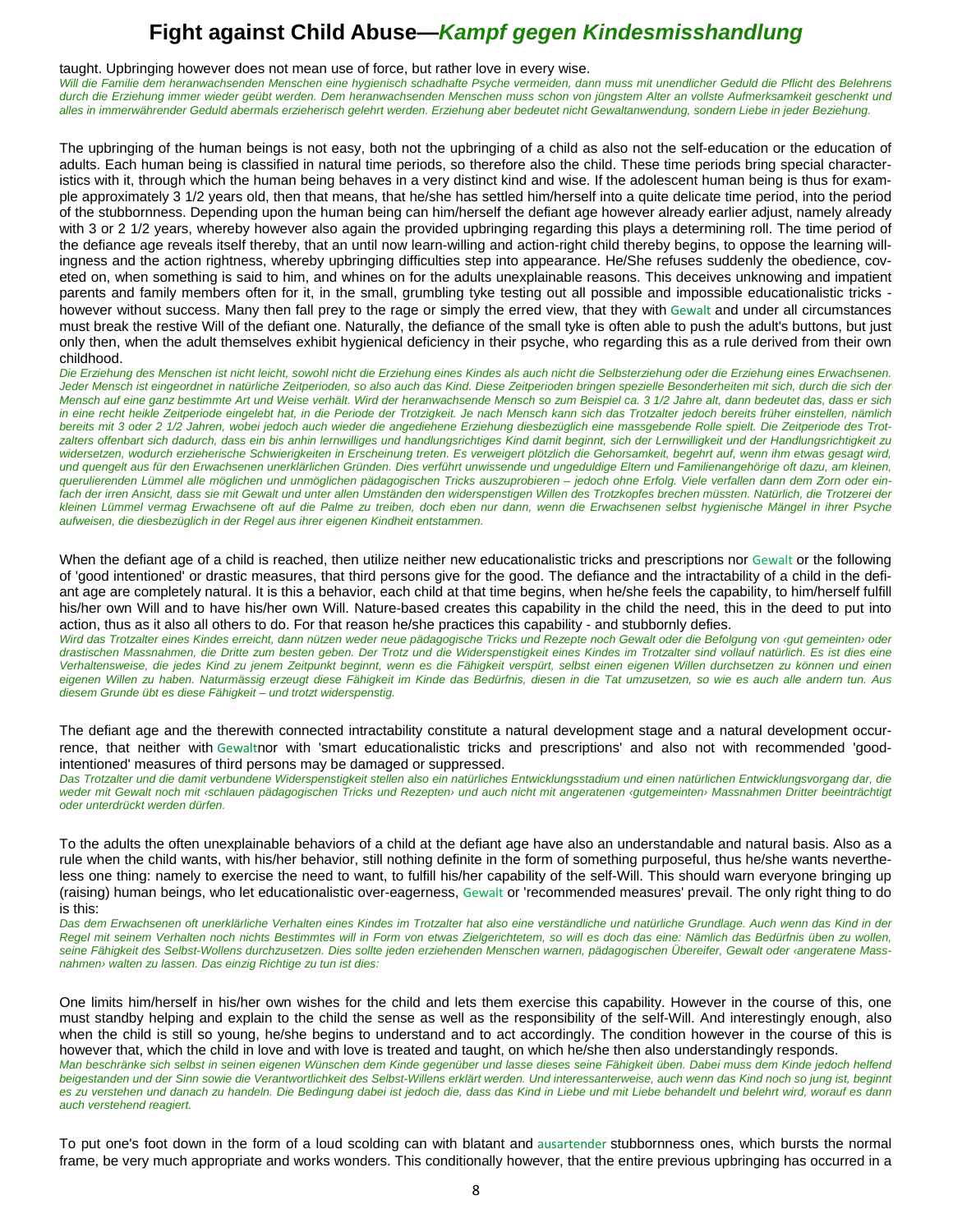taught. Upbringing however does not mean use of force, but rather love in every wise.

*Will die Familie dem heranwachsenden Menschen eine hygienisch schadhafte Psyche vermeiden, dann muss mit unendlicher Geduld die Pflicht des Belehrens durch die Erziehung immer wieder geübt werden. Dem heranwachsenden Menschen muss schon von jüngstem Alter an vollste Aufmerksamkeit geschenkt und alles in immerwährender Geduld abermals erzieherisch gelehrt werden. Erziehung aber bedeutet nicht Gewaltanwendung, sondern Liebe in jeder Beziehung.* 

The upbringing of the human beings is not easy, both not the upbringing of a child as also not the self-education or the education of adults. Each human being is classified in natural time periods, so therefore also the child. These time periods bring special characteristics with it, through which the human being behaves in a very distinct kind and wise. If the adolescent human being is thus for example approximately 3 1/2 years old, then that means, that he/she has settled him/herself into a quite delicate time period, into the period of the stubbornness. Depending upon the human being can him/herself the defiant age however already earlier adjust, namely already with 3 or 2 1/2 years, whereby however also again the provided upbringing regarding this plays a determining roll. The time period of the defiance age reveals itself thereby, that an until now learn-willing and action-right child thereby begins, to oppose the learning willingness and the action rightness, whereby upbringing difficulties step into appearance. He/She refuses suddenly the obedience, coveted on, when something is said to him, and whines on for the adults unexplainable reasons. This deceives unknowing and impatient parents and family members often for it, in the small, grumbling tyke testing out all possible and impossible educationalistic tricks however without success. Many then fall prey to the rage or simply the erred view, that they with Gewalt and under all circumstances must break the restive Will of the defiant one. Naturally, the defiance of the small tyke is often able to push the adult's buttons, but just only then, when the adult themselves exhibit hygienical deficiency in their psyche, who regarding this as a rule derived from their own childhood.

*Die Erziehung des Menschen ist nicht leicht, sowohl nicht die Erziehung eines Kindes als auch nicht die Selbsterziehung oder die Erziehung eines Erwachsenen. Jeder Mensch ist eingeordnet in natürliche Zeitperioden, so also auch das Kind. Diese Zeitperioden bringen spezielle Besonderheiten mit sich, durch die sich der Mensch auf eine ganz bestimmte Art und Weise verhält. Wird der heranwachsende Mensch so zum Beispiel ca. 3 1/2 Jahre alt, dann bedeutet das, dass er sich in eine recht heikle Zeitperiode eingelebt hat, in die Periode der Trotzigkeit. Je nach Mensch kann sich das Trotzalter jedoch bereits früher einstellen, nämlich bereits mit 3 oder 2 1/2 Jahren, wobei jedoch auch wieder die angediehene Erziehung diesbezüglich eine massgebende Rolle spielt. Die Zeitperiode des Trotzalters offenbart sich dadurch, dass ein bis anhin lernwilliges und handlungsrichtiges Kind damit beginnt, sich der Lernwilligkeit und der Handlungsrichtigkeit zu widersetzen, wodurch erzieherische Schwierigkeiten in Erscheinung treten. Es verweigert plötzlich die Gehorsamkeit, begehrt auf, wenn ihm etwas gesagt wird, und quengelt aus für den Erwachsenen unerklärlichen Gründen. Dies verführt unwissende und ungeduldige Eltern und Familienangehörige oft dazu, am kleinen, querulierenden Lümmel alle möglichen und unmöglichen pädagogischen Tricks auszuprobieren – jedoch ohne Erfolg. Viele verfallen dann dem Zorn oder ein*fach der irren Ansicht, dass sie mit Gewalt und unter allen Umständen den widerspenstigen Willen des Trotzkopfes brechen müssten. Natürlich, die Trotzerei der *kleinen Lümmel vermag Erwachsene oft auf die Palme zu treiben, doch eben nur dann, wenn die Erwachsenen selbst hygienische Mängel in ihrer Psyche aufweisen, die diesbezüglich in der Regel aus ihrer eigenen Kindheit entstammen.* 

When the defiant age of a child is reached, then utilize neither new educationalistic tricks and prescriptions nor Gewalt or the following of 'good intentioned' or drastic measures, that third persons give for the good. The defiance and the intractability of a child in the defiant age are completely natural. It is this a behavior, each child at that time begins, when he/she feels the capability, to him/herself fulfill his/her own Will and to have his/her own Will. Nature-based creates this capability in the child the need, this in the deed to put into action, thus as it also all others to do. For that reason he/she practices this capability - and stubbornly defies.

*Wird das Trotzalter eines Kindes erreicht, dann nützen weder neue pädagogische Tricks und Rezepte noch Gewalt oder die Befolgung von ‹gut gemeinten› oder drastischen Massnahmen, die Dritte zum besten geben. Der Trotz und die Widerspenstigkeit eines Kindes im Trotzalter sind vollauf natürlich. Es ist dies eine Verhaltensweise, die jedes Kind zu jenem Zeitpunkt beginnt, wenn es die Fähigkeit verspürt, selbst einen eigenen Willen durchsetzen zu können und einen eigenen Willen zu haben. Naturmässig erzeugt diese Fähigkeit im Kinde das Bedürfnis, diesen in die Tat umzusetzen, so wie es auch alle andern tun. Aus diesem Grunde übt es diese Fähigkeit – und trotzt widerspenstig.* 

The defiant age and the therewith connected intractability constitute a natural development stage and a natural development occurrence, that neither with Gewaltnor with 'smart educationalistic tricks and prescriptions' and also not with recommended 'goodintentioned' measures of third persons may be damaged or suppressed.

*Das Trotzalter und die damit verbundene Widerspenstigkeit stellen also ein natürliches Entwicklungsstadium und einen natürlichen Entwicklungsvorgang dar, die weder mit Gewalt noch mit ‹schlauen pädagogischen Tricks und Rezepten› und auch nicht mit angeratenen ‹gutgemeinten› Massnahmen Dritter beeinträchtigt oder unterdrückt werden dürfen.* 

To the adults the often unexplainable behaviors of a child at the defiant age have also an understandable and natural basis. Also as a rule when the child wants, with his/her behavior, still nothing definite in the form of something purposeful, thus he/she wants nevertheless one thing: namely to exercise the need to want, to fulfill his/her capability of the self-Will. This should warn everyone bringing up (raising) human beings, who let educationalistic over-eagerness, Gewalt or 'recommended measures' prevail. The only right thing to do is this:

*Das dem Erwachsenen oft unerklärliche Verhalten eines Kindes im Trotzalter hat also eine verständliche und natürliche Grundlage. Auch wenn das Kind in der Regel mit seinem Verhalten noch nichts Bestimmtes will in Form von etwas Zielgerichtetem, so will es doch das eine: Nämlich das Bedürfnis üben zu wollen, seine Fähigkeit des Selbst-Wollens durchzusetzen. Dies sollte jeden erziehenden Menschen warnen, pädagogischen Übereifer, Gewalt oder ‹angeratene Massnahmen› walten zu lassen. Das einzig Richtige zu tun ist dies:* 

One limits him/herself in his/her own wishes for the child and lets them exercise this capability. However in the course of this, one must standby helping and explain to the child the sense as well as the responsibility of the self-Will. And interestingly enough, also when the child is still so young, he/she begins to understand and to act accordingly. The condition however in the course of this is however that, which the child in love and with love is treated and taught, on which he/she then also understandingly responds. *Man beschränke sich selbst in seinen eigenen Wünschen dem Kinde gegenüber und lasse dieses seine Fähigkeit üben. Dabei muss dem Kinde jedoch helfend beigestanden und der Sinn sowie die Verantwortlichkeit des Selbst-Willens erklärt werden. Und interessanterweise, auch wenn das Kind noch so jung ist, beginnt*  es zu verstehen und danach zu handeln. Die Bedingung dabei ist jedoch die, dass das Kind in Liebe und mit Liebe behandelt und belehrt wird, worauf es dann *auch verstehend reagiert.* 

To put one's foot down in the form of a loud scolding can with blatant and ausartender stubbornness ones, which bursts the normal frame, be very much appropriate and works wonders. This conditionally however, that the entire previous upbringing has occurred in a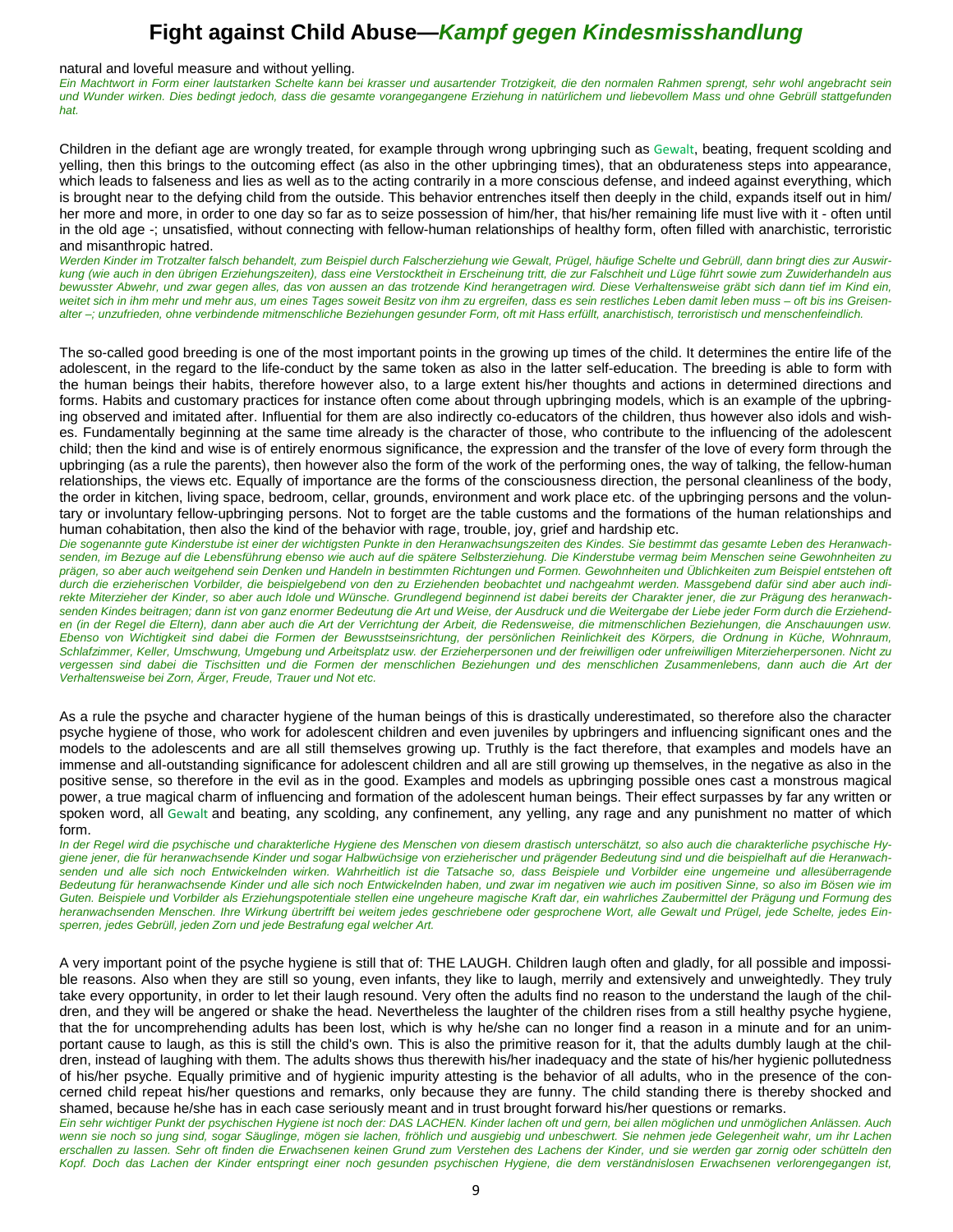#### natural and loveful measure and without yelling.

*Ein Machtwort in Form einer lautstarken Schelte kann bei krasser und ausartender Trotzigkeit, die den normalen Rahmen sprengt, sehr wohl angebracht sein und Wunder wirken. Dies bedingt jedoch, dass die gesamte vorangegangene Erziehung in natürlichem und liebevollem Mass und ohne Gebrüll stattgefunden hat.* 

Children in the defiant age are wrongly treated, for example through wrong upbringing such as Gewalt, beating, frequent scolding and yelling, then this brings to the outcoming effect (as also in the other upbringing times), that an obdurateness steps into appearance, which leads to falseness and lies as well as to the acting contrarily in a more conscious defense, and indeed against everything, which is brought near to the defying child from the outside. This behavior entrenches itself then deeply in the child, expands itself out in him/ her more and more, in order to one day so far as to seize possession of him/her, that his/her remaining life must live with it - often until in the old age -; unsatisfied, without connecting with fellow-human relationships of healthy form, often filled with anarchistic, terroristic and misanthropic hatred.

*Werden Kinder im Trotzalter falsch behandelt, zum Beispiel durch Falscherziehung wie Gewalt, Prügel, häufige Schelte und Gebrüll, dann bringt dies zur Auswirkung (wie auch in den übrigen Erziehungszeiten), dass eine Verstocktheit in Erscheinung tritt, die zur Falschheit und Lüge führt sowie zum Zuwiderhandeln aus bewusster Abwehr, und zwar gegen alles, das von aussen an das trotzende Kind herangetragen wird. Diese Verhaltensweise gräbt sich dann tief im Kind ein,*  weitet sich in ihm mehr und mehr aus, um eines Tages soweit Besitz von ihm zu ergreifen, dass es sein restliches Leben damit leben muss - oft bis ins Greisen*alter –; unzufrieden, ohne verbindende mitmenschliche Beziehungen gesunder Form, oft mit Hass erfüllt, anarchistisch, terroristisch und menschenfeindlich.* 

The so-called good breeding is one of the most important points in the growing up times of the child. It determines the entire life of the adolescent, in the regard to the life-conduct by the same token as also in the latter self-education. The breeding is able to form with the human beings their habits, therefore however also, to a large extent his/her thoughts and actions in determined directions and forms. Habits and customary practices for instance often come about through upbringing models, which is an example of the upbringing observed and imitated after. Influential for them are also indirectly co-educators of the children, thus however also idols and wishes. Fundamentally beginning at the same time already is the character of those, who contribute to the influencing of the adolescent child; then the kind and wise is of entirely enormous significance, the expression and the transfer of the love of every form through the upbringing (as a rule the parents), then however also the form of the work of the performing ones, the way of talking, the fellow-human relationships, the views etc. Equally of importance are the forms of the consciousness direction, the personal cleanliness of the body, the order in kitchen, living space, bedroom, cellar, grounds, environment and work place etc. of the upbringing persons and the voluntary or involuntary fellow-upbringing persons. Not to forget are the table customs and the formations of the human relationships and human cohabitation, then also the kind of the behavior with rage, trouble, joy, grief and hardship etc.

*Die sogenannte gute Kinderstube ist einer der wichtigsten Punkte in den Heranwachsungszeiten des Kindes. Sie bestimmt das gesamte Leben des Heranwachsenden, im Bezuge auf die Lebensführung ebenso wie auch auf die spätere Selbsterziehung. Die Kinderstube vermag beim Menschen seine Gewohnheiten zu prägen, so aber auch weitgehend sein Denken und Handeln in bestimmten Richtungen und Formen. Gewohnheiten und Üblichkeiten zum Beispiel entstehen oft durch die erzieherischen Vorbilder, die beispielgebend von den zu Erziehenden beobachtet und nachgeahmt werden. Massgebend dafür sind aber auch indirekte Miterzieher der Kinder, so aber auch Idole und Wünsche. Grundlegend beginnend ist dabei bereits der Charakter jener, die zur Prägung des heranwachsenden Kindes beitragen; dann ist von ganz enormer Bedeutung die Art und Weise, der Ausdruck und die Weitergabe der Liebe jeder Form durch die Erziehenden (in der Regel die Eltern), dann aber auch die Art der Verrichtung der Arbeit, die Redensweise, die mitmenschlichen Beziehungen, die Anschauungen usw. Ebenso von Wichtigkeit sind dabei die Formen der Bewusstseinsrichtung, der persönlichen Reinlichkeit des Körpers, die Ordnung in Küche, Wohnraum, Schlafzimmer, Keller, Umschwung, Umgebung und Arbeitsplatz usw. der Erzieherpersonen und der freiwilligen oder unfreiwilligen Miterzieherpersonen. Nicht zu vergessen sind dabei die Tischsitten und die Formen der menschlichen Beziehungen und des menschlichen Zusammenlebens, dann auch die Art der Verhaltensweise bei Zorn, Ärger, Freude, Trauer und Not etc.* 

As a rule the psyche and character hygiene of the human beings of this is drastically underestimated, so therefore also the character psyche hygiene of those, who work for adolescent children and even juveniles by upbringers and influencing significant ones and the models to the adolescents and are all still themselves growing up. Truthly is the fact therefore, that examples and models have an immense and all-outstanding significance for adolescent children and all are still growing up themselves, in the negative as also in the positive sense, so therefore in the evil as in the good. Examples and models as upbringing possible ones cast a monstrous magical power, a true magical charm of influencing and formation of the adolescent human beings. Their effect surpasses by far any written or spoken word, all Gewalt and beating, any scolding, any confinement, any yelling, any rage and any punishment no matter of which form.

*In der Regel wird die psychische und charakterliche Hygiene des Menschen von diesem drastisch unterschätzt, so also auch die charakterliche psychische Hygiene jener, die für heranwachsende Kinder und sogar Halbwüchsige von erzieherischer und prägender Bedeutung sind und die beispielhaft auf die Heranwach*senden und alle sich noch Entwickelnden wirken. Wahrheitlich ist die Tatsache so, dass Beispiele und Vorbilder eine ungemeine und allesüberragende *Bedeutung für heranwachsende Kinder und alle sich noch Entwickelnden haben, und zwar im negativen wie auch im positiven Sinne, so also im Bösen wie im Guten. Beispiele und Vorbilder als Erziehungspotentiale stellen eine ungeheure magische Kraft dar, ein wahrliches Zaubermittel der Prägung und Formung des heranwachsenden Menschen. Ihre Wirkung übertrifft bei weitem jedes geschriebene oder gesprochene Wort, alle Gewalt und Prügel, jede Schelte, jedes Einsperren, jedes Gebrüll, jeden Zorn und jede Bestrafung egal welcher Art.* 

A very important point of the psyche hygiene is still that of: THE LAUGH. Children laugh often and gladly, for all possible and impossible reasons. Also when they are still so young, even infants, they like to laugh, merrily and extensively and unweightedly. They truly take every opportunity, in order to let their laugh resound. Very often the adults find no reason to the understand the laugh of the children, and they will be angered or shake the head. Nevertheless the laughter of the children rises from a still healthy psyche hygiene, that the for uncomprehending adults has been lost, which is why he/she can no longer find a reason in a minute and for an unimportant cause to laugh, as this is still the child's own. This is also the primitive reason for it, that the adults dumbly laugh at the children, instead of laughing with them. The adults shows thus therewith his/her inadequacy and the state of his/her hygienic pollutedness of his/her psyche. Equally primitive and of hygienic impurity attesting is the behavior of all adults, who in the presence of the concerned child repeat his/her questions and remarks, only because they are funny. The child standing there is thereby shocked and shamed, because he/she has in each case seriously meant and in trust brought forward his/her questions or remarks.

*Ein sehr wichtiger Punkt der psychischen Hygiene ist noch der: DAS LACHEN. Kinder lachen oft und gern, bei allen möglichen und unmöglichen Anlässen. Auch*  wenn sie noch so jung sind, sogar Säuglinge, mögen sie lachen, fröhlich und ausgiebig und unbeschwert. Sie nehmen jede Gelegenheit wahr, um ihr Lachen *erschallen zu lassen. Sehr oft finden die Erwachsenen keinen Grund zum Verstehen des Lachens der Kinder, und sie werden gar zornig oder schütteln den Kopf. Doch das Lachen der Kinder entspringt einer noch gesunden psychischen Hygiene, die dem verständnislosen Erwachsenen verlorengegangen ist,*